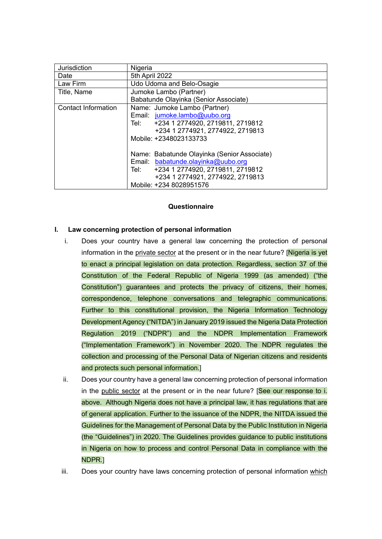| Jurisdiction               | Nigeria                                                                                                                                                           |
|----------------------------|-------------------------------------------------------------------------------------------------------------------------------------------------------------------|
| Date                       | 5th April 2022                                                                                                                                                    |
| Law Firm                   | Udo Udoma and Belo-Osagie                                                                                                                                         |
| Title, Name                | Jumoke Lambo (Partner)                                                                                                                                            |
|                            | Babatunde Olayinka (Senior Associate)                                                                                                                             |
| <b>Contact Information</b> | Name: Jumoke Lambo (Partner)                                                                                                                                      |
|                            | Email: jumoke.lambo@uubo.org                                                                                                                                      |
|                            | Tel: +234 1 2774920, 2719811, 2719812                                                                                                                             |
|                            | +234 1 2774921, 2774922, 2719813                                                                                                                                  |
|                            | Mobile: +2348023133733                                                                                                                                            |
|                            | Name: Babatunde Olayinka (Senior Associate)<br>Email: babatunde.olayinka@uubo.org<br>+234 1 2774920, 2719811, 2719812<br>Tel:<br>+234 1 2774921, 2774922, 2719813 |
|                            | Mobile: +234 8028951576                                                                                                                                           |

#### **Questionnaire**

### **I. Law concerning protection of personal information**

- i. Does your country have a general law concerning the protection of personal information in the private sector at the present or in the near future? [Nigeria is yet to enact a principal legislation on data protection. Regardless, section 37 of the Constitution of the Federal Republic of Nigeria 1999 (as amended) ("the Constitution") guarantees and protects the privacy of citizens, their homes, correspondence, telephone conversations and telegraphic communications. Further to this constitutional provision, the Nigeria Information Technology Development Agency ("NITDA") in January 2019 issued the Nigeria Data Protection Regulation 2019 ("NDPR") and the NDPR Implementation Framework ("Implementation Framework") in November 2020. The NDPR regulates the collection and processing of the Personal Data of Nigerian citizens and residents and protects such personal information.]
- ii. Does your country have a general law concerning protection of personal information in the public sector at the present or in the near future? **See our response to i.** above. Although Nigeria does not have a principal law, it has regulations that are of general application. Further to the issuance of the NDPR, the NITDA issued the Guidelines for the Management of Personal Data by the Public Institution in Nigeria (the "Guidelines") in 2020. The Guidelines provides guidance to public institutions in Nigeria on how to process and control Personal Data in compliance with the NDPR.]
- iii. Does your country have laws concerning protection of personal information which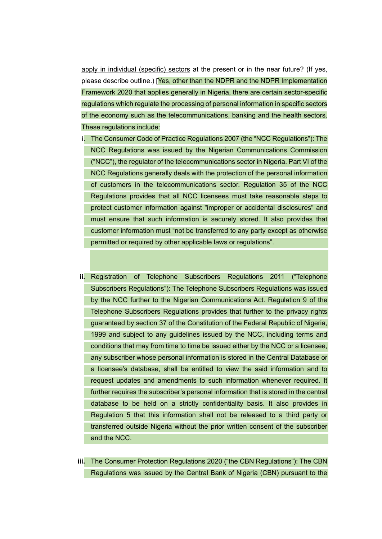apply in individual (specific) sectors at the present or in the near future? (If yes, please describe outline.) [Yes, other than the NDPR and the NDPR Implementation Framework 2020 that applies generally in Nigeria, there are certain sector-specific regulations which regulate the processing of personal information in specific sectors of the economy such as the telecommunications, banking and the health sectors. These regulations include:

- i. The Consumer Code of Practice Regulations 2007 (the "NCC Regulations"): The NCC Regulations was issued by the Nigerian Communications Commission ("NCC"), the regulator of the telecommunications sector in Nigeria. Part VI of the NCC Regulations generally deals with the protection of the personal information of customers in the telecommunications sector. Regulation 35 of the NCC Regulations provides that all NCC licensees must take reasonable steps to protect customer information against "improper or accidental disclosures" and must ensure that such information is securely stored. It also provides that customer information must "not be transferred to any party except as otherwise permitted or required by other applicable laws or regulations".
- **ii.** Registration of Telephone Subscribers Regulations 2011 ("Telephone Subscribers Regulations"): The Telephone Subscribers Regulations was issued by the NCC further to the Nigerian Communications Act. Regulation 9 of the Telephone Subscribers Regulations provides that further to the privacy rights guaranteed by section 37 of the Constitution of the Federal Republic of Nigeria, 1999 and subject to any guidelines issued by the NCC, including terms and conditions that may from time to time be issued either by the NCC or a licensee, any subscriber whose personal information is stored in the Central Database or a licensee's database, shall be entitled to view the said information and to request updates and amendments to such information whenever required. It further requires the subscriber's personal information that is stored in the central database to be held on a strictly confidentiality basis. It also provides in Regulation 5 that this information shall not be released to a third party or transferred outside Nigeria without the prior written consent of the subscriber and the NCC.
- **iii.** The Consumer Protection Regulations 2020 ("the CBN Regulations"): The CBN Regulations was issued by the Central Bank of Nigeria (CBN) pursuant to the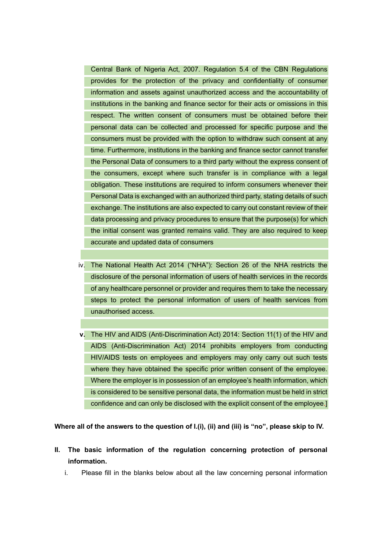Central Bank of Nigeria Act, 2007. Regulation 5.4 of the CBN Regulations provides for the protection of the privacy and confidentiality of consumer information and assets against unauthorized access and the accountability of institutions in the banking and finance sector for their acts or omissions in this respect. The written consent of consumers must be obtained before their personal data can be collected and processed for specific purpose and the consumers must be provided with the option to withdraw such consent at any time. Furthermore, institutions in the banking and finance sector cannot transfer the Personal Data of consumers to a third party without the express consent of the consumers, except where such transfer is in compliance with a legal obligation. These institutions are required to inform consumers whenever their Personal Data is exchanged with an authorized third party, stating details of such exchange. The institutions are also expected to carry out constant review of their data processing and privacy procedures to ensure that the purpose(s) for which the initial consent was granted remains valid. They are also required to keep accurate and updated data of consumers

- iv. The National Health Act 2014 ("NHA"): Section 26 of the NHA restricts the disclosure of the personal information of users of health services in the records of any healthcare personnel or provider and requires them to take the necessary steps to protect the personal information of users of health services from unauthorised access.
- **v.** The HIV and AIDS (Anti-Discrimination Act) 2014: Section 11(1) of the HIV and AIDS (Anti-Discrimination Act) 2014 prohibits employers from conducting HIV/AIDS tests on employees and employers may only carry out such tests where they have obtained the specific prior written consent of the employee. Where the employer is in possession of an employee's health information, which is considered to be sensitive personal data, the information must be held in strict confidence and can only be disclosed with the explicit consent of the employee.]

**Where all of the answers to the question of I.(i), (ii) and (iii) is "no", please skip to IV.** 

- **II. The basic information of the regulation concerning protection of personal information.**
	- i. Please fill in the blanks below about all the law concerning personal information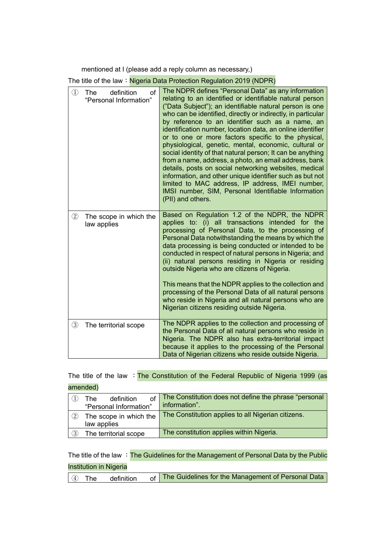mentioned at I (please add a reply column as necessary,)

The title of the law: Nigeria Data Protection Regulation 2019 (NDPR)

| $\textcircled{\scriptsize{1}}$ | definition<br>of<br><b>The</b><br>"Personal Information" | The NDPR defines "Personal Data" as any information<br>relating to an identified or identifiable natural person<br>("Data Subject"); an identifiable natural person is one<br>who can be identified, directly or indirectly, in particular<br>by reference to an identifier such as a name, an<br>identification number, location data, an online identifier<br>or to one or more factors specific to the physical,<br>physiological, genetic, mental, economic, cultural or<br>social identity of that natural person; It can be anything<br>from a name, address, a photo, an email address, bank<br>details, posts on social networking websites, medical<br>information, and other unique identifier such as but not<br>limited to MAC address, IP address, IMEI number,<br>IMSI number, SIM, Personal Identifiable Information<br>(PII) and others. |
|--------------------------------|----------------------------------------------------------|----------------------------------------------------------------------------------------------------------------------------------------------------------------------------------------------------------------------------------------------------------------------------------------------------------------------------------------------------------------------------------------------------------------------------------------------------------------------------------------------------------------------------------------------------------------------------------------------------------------------------------------------------------------------------------------------------------------------------------------------------------------------------------------------------------------------------------------------------------|
| $\circled{2}$                  | The scope in which the<br>law applies                    | Based on Regulation 1.2 of the NDPR, the NDPR<br>applies to: (i) all transactions intended for the<br>processing of Personal Data, to the processing of<br>Personal Data notwithstanding the means by which the<br>data processing is being conducted or intended to be<br>conducted in respect of natural persons in Nigeria; and<br>(ii) natural persons residing in Nigeria or residing<br>outside Nigeria who are citizens of Nigeria.<br>This means that the NDPR applies to the collection and<br>processing of the Personal Data of all natural persons<br>who reside in Nigeria and all natural persons who are<br>Nigerian citizens residing outside Nigeria.                                                                                                                                                                                   |
| $\circled{3}$                  | The territorial scope                                    | The NDPR applies to the collection and processing of<br>the Personal Data of all natural persons who reside in<br>Nigeria. The NDPR also has extra-territorial impact<br>because it applies to the processing of the Personal<br>Data of Nigerian citizens who reside outside Nigeria.                                                                                                                                                                                                                                                                                                                                                                                                                                                                                                                                                                   |

# The title of the law : The Constitution of the Federal Republic of Nigeria 1999 (as amended)

|                   | $of \triangleright$<br>definition<br>The<br>"Personal Information" | The Constitution does not define the phrase "personal<br>information". |
|-------------------|--------------------------------------------------------------------|------------------------------------------------------------------------|
| $\left( 2\right)$ | The scope in which the<br>law applies                              | The Constitution applies to all Nigerian citizens.                     |
| $\left(3\right)$  | The territorial scope                                              | The constitution applies within Nigeria.                               |

The title of the law : The Guidelines for the Management of Personal Data by the Public Institution in Nigeria

|  |  | $\boxed{4}$ The definition |  | <sub>of</sub> The Guidelines for the Management of Personal Data |
|--|--|----------------------------|--|------------------------------------------------------------------|
|--|--|----------------------------|--|------------------------------------------------------------------|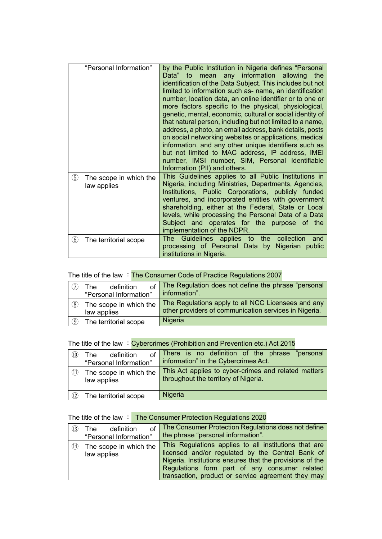| "Personal Information"                               | by the Public Institution in Nigeria defines "Personal<br>mean any information allowing the<br>Data" to<br>identification of the Data Subject. This includes but not<br>limited to information such as- name, an identification<br>number, location data, an online identifier or to one or<br>more factors specific to the physical, physiological,<br>genetic, mental, economic, cultural or social identity of<br>that natural person, including but not limited to a name,<br>address, a photo, an email address, bank details, posts<br>on social networking websites or applications, medical<br>information, and any other unique identifiers such as<br>but not limited to MAC address, IP address, IMEI<br>number, IMSI number, SIM, Personal Identifiable<br>Information (PII) and others. |
|------------------------------------------------------|------------------------------------------------------------------------------------------------------------------------------------------------------------------------------------------------------------------------------------------------------------------------------------------------------------------------------------------------------------------------------------------------------------------------------------------------------------------------------------------------------------------------------------------------------------------------------------------------------------------------------------------------------------------------------------------------------------------------------------------------------------------------------------------------------|
| $\circledS$<br>The scope in which the<br>law applies | This Guidelines applies to all Public Institutions in<br>Nigeria, including Ministries, Departments, Agencies,<br>Institutions, Public Corporations, publicly funded<br>ventures, and incorporated entities with government<br>shareholding, either at the Federal, State or Local<br>levels, while processing the Personal Data of a Data<br>Subject and operates for the purpose of the<br>implementation of the NDPR.                                                                                                                                                                                                                                                                                                                                                                             |
| $\circledast$<br>The territorial scope               | The Guidelines applies to<br>the collection<br>and<br>processing of Personal Data by Nigerian public<br>institutions in Nigeria.                                                                                                                                                                                                                                                                                                                                                                                                                                                                                                                                                                                                                                                                     |

# The title of the law : The Consumer Code of Practice Regulations 2007

|     | definition<br>The<br>"Personal Information" | The Regulation does not define the phrase "personal<br>information".                                        |
|-----|---------------------------------------------|-------------------------------------------------------------------------------------------------------------|
| (8) | The scope in which the<br>law applies       | The Regulations apply to all NCC Licensees and any<br>other providers of communication services in Nigeria. |
| O   | The territorial scope                       | Nigeria                                                                                                     |

# The title of the law : Cybercrimes (Prohibition and Prevention etc.) Act 2015

| (10)               | of<br>definition<br><b>The</b><br>"Personal Information" | There is no definition of the phrase "personal<br>information" in the Cybercrimes Act.       |
|--------------------|----------------------------------------------------------|----------------------------------------------------------------------------------------------|
| (11)               | The scope in which the<br>law applies                    | This Act applies to cyber-crimes and related matters<br>throughout the territory of Nigeria. |
| $\left( 12\right)$ | The territorial scope                                    | Nigeria                                                                                      |

# The title of the law : The Consumer Protection Regulations 2020

| (13) | definition<br>The<br>"Personal Information" | of   The Consumer Protection Regulations does not define<br>the phrase "personal information".                                                                                                                                                                               |
|------|---------------------------------------------|------------------------------------------------------------------------------------------------------------------------------------------------------------------------------------------------------------------------------------------------------------------------------|
| (14) | The scope in which the<br>law applies       | This Regulations applies to all institutions that are<br>licensed and/or regulated by the Central Bank of<br>Nigeria. Institutions ensures that the provisions of the<br>Regulations form part of any consumer related<br>transaction, product or service agreement they may |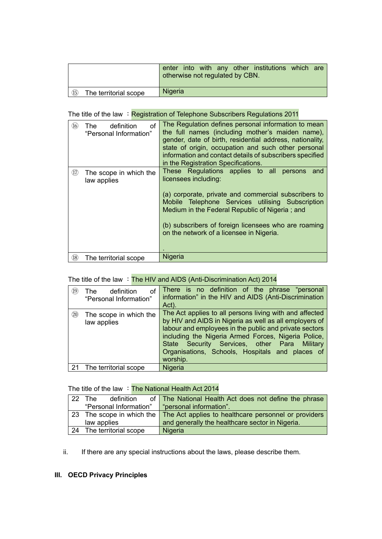|                                         | enter into with any other institutions which are<br>otherwise not regulated by CBN. |
|-----------------------------------------|-------------------------------------------------------------------------------------|
| $\circled{15}$<br>The territorial scope | Nigeria                                                                             |

### The title of the law : Registration of Telephone Subscribers Regulations 2011

| (16) | definition<br>of<br>The .<br>"Personal Information" | The Regulation defines personal information to mean<br>the full names (including mother's maiden name),<br>gender, date of birth, residential address, nationality,<br>state of origin, occupation and such other personal<br>information and contact details of subscribers specified<br>in the Registration Specifications. |
|------|-----------------------------------------------------|-------------------------------------------------------------------------------------------------------------------------------------------------------------------------------------------------------------------------------------------------------------------------------------------------------------------------------|
| (17) | The scope in which the<br>law applies               | These Regulations applies to all persons<br>and<br>licensees including:                                                                                                                                                                                                                                                       |
|      |                                                     | (a) corporate, private and commercial subscribers to<br>Mobile Telephone Services utilising Subscription<br>Medium in the Federal Republic of Nigeria; and<br>(b) subscribers of foreign licensees who are roaming<br>on the network of a licensee in Nigeria.                                                                |
| (18) | The territorial scope                               | Nigeria                                                                                                                                                                                                                                                                                                                       |
|      |                                                     |                                                                                                                                                                                                                                                                                                                               |

# The title of the law : The HIV and AIDS (Anti-Discrimination Act) 2014

| 19)  | definition<br>οf<br>The<br>"Personal Information" | There is no definition of the phrase "personal<br>information" in the HIV and AIDS (Anti-Discrimination<br>Act).                                                                                                                                                                                                                                     |
|------|---------------------------------------------------|------------------------------------------------------------------------------------------------------------------------------------------------------------------------------------------------------------------------------------------------------------------------------------------------------------------------------------------------------|
| (20) | The scope in which the<br>law applies             | The Act applies to all persons living with and affected<br>by HIV and AIDS in Nigeria as well as all employers of<br>labour and employees in the public and private sectors<br>including the Nigeria Armed Forces, Nigeria Police,<br>Security Services, other Para Military<br>State<br>Organisations, Schools, Hospitals and places of<br>worship. |
| -21  | The territorial scope                             | Nigeria                                                                                                                                                                                                                                                                                                                                              |

### The title of the law  $\div$  The National Health Act 2014

| $22^{\circ}$ | definition<br>The T                              | of The National Health Act does not define the phrase                          |
|--------------|--------------------------------------------------|--------------------------------------------------------------------------------|
|              | "Personal Information"   "personal information". |                                                                                |
|              |                                                  | 23 The scope in which the The Act applies to healthcare personnel or providers |
|              | law applies                                      | and generally the healthcare sector in Nigeria.                                |
|              | 24 The territorial scope                         | Nigeria                                                                        |

ii. If there are any special instructions about the laws, please describe them.

### **III. OECD Privacy Principles**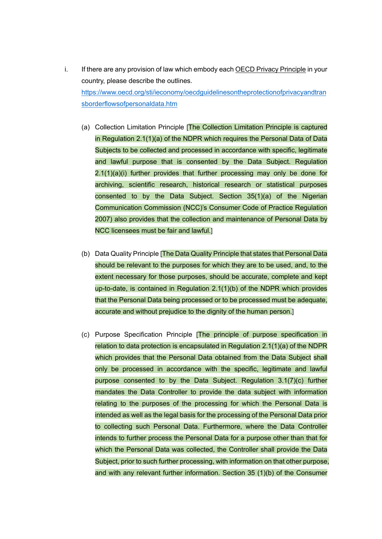- i. If there are any provision of law which embody each OECD Privacy Principle in your country, please describe the outlines. [https://www.oecd.org/sti/ieconomy/oecdguidelinesontheprotectionofprivacyandtran](https://www.oecd.org/sti/ieconomy/oecdguidelinesontheprotectionofprivacyandtransborderflowsofpersonaldata.htm) [sborderflowsofpersonaldata.htm](https://www.oecd.org/sti/ieconomy/oecdguidelinesontheprotectionofprivacyandtransborderflowsofpersonaldata.htm)
	- (a) Collection Limitation Principle [The Collection Limitation Principle is captured in Regulation 2.1(1)(a) of the NDPR which requires the Personal Data of Data Subjects to be collected and processed in accordance with specific, legitimate and lawful purpose that is consented by the Data Subject. Regulation 2.1(1)(a)(i) further provides that further processing may only be done for archiving, scientific research, historical research or statistical purposes consented to by the Data Subject. Section 35(1)(a) of the Nigerian Communication Commission (NCC)'s Consumer Code of Practice Regulation 2007) also provides that the collection and maintenance of Personal Data by NCC licensees must be fair and lawful.]
	- (b) Data Quality Principle [The Data Quality Principle that states that Personal Data should be relevant to the purposes for which they are to be used, and, to the extent necessary for those purposes, should be accurate, complete and kept up-to-date, is contained in Regulation 2.1(1)(b) of the NDPR which provides that the Personal Data being processed or to be processed must be adequate, accurate and without prejudice to the dignity of the human person.]
	- (c) Purpose Specification Principle [The principle of purpose specification in relation to data protection is encapsulated in Regulation 2.1(1)(a) of the NDPR which provides that the Personal Data obtained from the Data Subject shall only be processed in accordance with the specific, legitimate and lawful purpose consented to by the Data Subject. Regulation 3.1(7)(c) further mandates the Data Controller to provide the data subject with information relating to the purposes of the processing for which the Personal Data is intended as well as the legal basis for the processing of the Personal Data prior to collecting such Personal Data. Furthermore, where the Data Controller intends to further process the Personal Data for a purpose other than that for which the Personal Data was collected, the Controller shall provide the Data Subject, prior to such further processing, with information on that other purpose, and with any relevant further information. Section 35 (1)(b) of the Consumer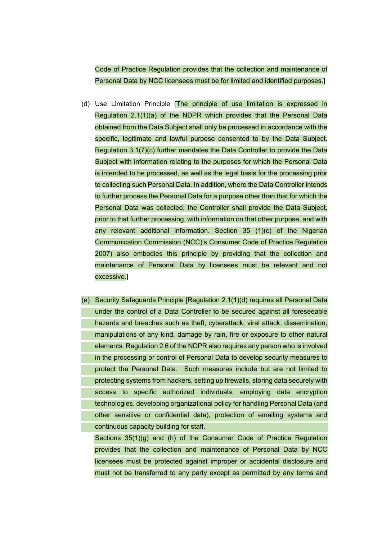Code of Practice Regulation provides that the collection and maintenance of Personal Data by NCC licensees must be for limited and identified purposes.]

- (d) Use Limitation Principle [The principle of use limitation is expressed in Regulation 2.1(1)(a) of the NDPR which provides that the Personal Data obtained from the Data Subject shall only be processed in accordance with the specific, legitimate and lawful purpose consented to by the Data Subject. Regulation 3.1(7)(c) further mandates the Data Controller to provide the Data Subject with information relating to the purposes for which the Personal Data is intended to be processed, as well as the legal basis for the processing prior to collecting such Personal Data. In addition, where the Data Controller intends to further process the Personal Data for a purpose other than that for which the Personal Data was collected, the Controller shall provide the Data Subject, prior to that further processing, with information on that other purpose, and with any relevant additional information. Section 35 (1)(c) of the Nigerian Communication Commission (NCC)'s Consumer Code of Practice Regulation 2007) also embodies this principle by providing that the collection and maintenance of Personal Data by licensees must be relevant and not excessive.]
- (e) Security Safeguards Principle [Regulation 2.1(1)(d) requires all Personal Data under the control of a Data Controller to be secured against all foreseeable hazards and breaches such as theft, cyberattack, viral attack, dissemination, manipulations of any kind, damage by rain, fire or exposure to other natural elements. Regulation 2.6 of the NDPR also requires any person who is involved in the processing or control of Personal Data to develop security measures to protect the Personal Data. Such measures include but are not limited to protecting systems from hackers, setting up firewalls, storing data securely with access to specific authorized individuals, employing data encryption technologies, developing organizational policy for handling Personal Data (and other sensitive or confidential data), protection of emailing systems and continuous capacity building for staff.

Sections 35(1)(g) and (h) of the Consumer Code of Practice Regulation provides that the collection and maintenance of Personal Data by NCC licensees must be protected against improper or accidental disclosure and must not be transferred to any party except as permitted by any terms and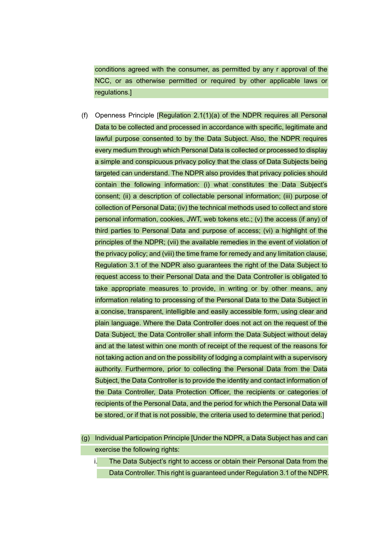conditions agreed with the consumer, as permitted by any r approval of the NCC, or as otherwise permitted or required by other applicable laws or regulations.]

- (f) Openness Principle [Regulation 2.1(1)(a) of the NDPR requires all Personal Data to be collected and processed in accordance with specific, legitimate and lawful purpose consented to by the Data Subject. Also, the NDPR requires every medium through which Personal Data is collected or processed to display a simple and conspicuous privacy policy that the class of Data Subjects being targeted can understand. The NDPR also provides that privacy policies should contain the following information: (i) what constitutes the Data Subject's consent; (ii) a description of collectable personal information; (iii) purpose of collection of Personal Data; (iv) the technical methods used to collect and store personal information, cookies, JWT, web tokens etc.; (v) the access (if any) of third parties to Personal Data and purpose of access; (vi) a highlight of the principles of the NDPR; (vii) the available remedies in the event of violation of the privacy policy; and (viii) the time frame for remedy and any limitation clause, Regulation 3.1 of the NDPR also guarantees the right of the Data Subject to request access to their Personal Data and the Data Controller is obligated to take appropriate measures to provide, in writing or by other means, any information relating to processing of the Personal Data to the Data Subject in a concise, transparent, intelligible and easily accessible form, using clear and plain language. Where the Data Controller does not act on the request of the Data Subject, the Data Controller shall inform the Data Subject without delay and at the latest within one month of receipt of the request of the reasons for not taking action and on the possibility of lodging a complaint with a supervisory authority. Furthermore, prior to collecting the Personal Data from the Data Subject, the Data Controller is to provide the identity and contact information of the Data Controller, Data Protection Officer, the recipients or categories of recipients of the Personal Data, and the period for which the Personal Data will be stored, or if that is not possible, the criteria used to determine that period.]
- (g) Individual Participation Principle [Under the NDPR, a Data Subject has and can exercise the following rights:

i. The Data Subject's right to access or obtain their Personal Data from the Data Controller. This right is guaranteed under Regulation 3.1 of the NDPR.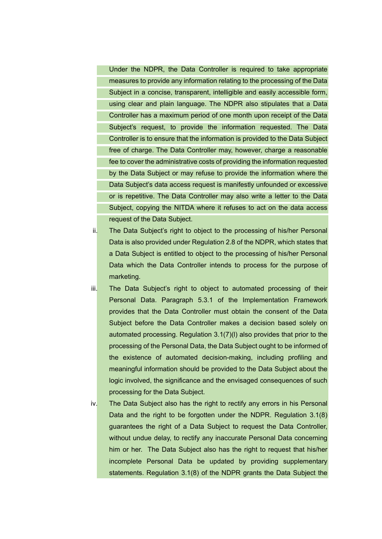Under the NDPR, the Data Controller is required to take appropriate measures to provide any information relating to the processing of the Data Subject in a concise, transparent, intelligible and easily accessible form, using clear and plain language. The NDPR also stipulates that a Data Controller has a maximum period of one month upon receipt of the Data Subject's request, to provide the information requested. The Data Controller is to ensure that the information is provided to the Data Subject free of charge. The Data Controller may, however, charge a reasonable fee to cover the administrative costs of providing the information requested by the Data Subject or may refuse to provide the information where the Data Subject's data access request is manifestly unfounded or excessive or is repetitive. The Data Controller may also write a letter to the Data Subject, copying the NITDA where it refuses to act on the data access request of the Data Subject.

- ii. The Data Subject's right to object to the processing of his/her Personal Data is also provided under Regulation 2.8 of the NDPR, which states that a Data Subject is entitled to object to the processing of his/her Personal Data which the Data Controller intends to process for the purpose of marketing.
- iii. The Data Subject's right to object to automated processing of their Personal Data. Paragraph 5.3.1 of the Implementation Framework provides that the Data Controller must obtain the consent of the Data Subject before the Data Controller makes a decision based solely on automated processing. Regulation 3.1(7)(l) also provides that prior to the processing of the Personal Data, the Data Subject ought to be informed of the existence of automated decision-making, including profiling and meaningful information should be provided to the Data Subject about the logic involved, the significance and the envisaged consequences of such processing for the Data Subject.
- iv. The Data Subject also has the right to rectify any errors in his Personal Data and the right to be forgotten under the NDPR. Regulation 3.1(8) guarantees the right of a Data Subject to request the Data Controller, without undue delay, to rectify any inaccurate Personal Data concerning him or her. The Data Subject also has the right to request that his/her incomplete Personal Data be updated by providing supplementary statements. Regulation 3.1(8) of the NDPR grants the Data Subject the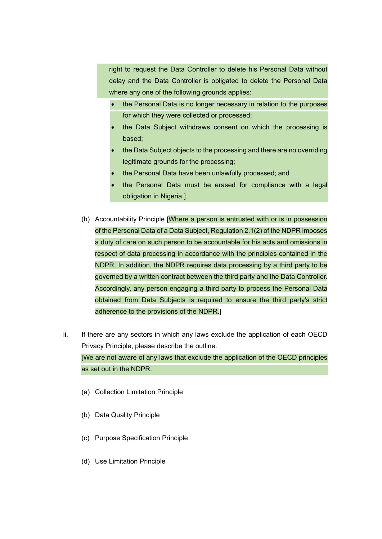right to request the Data Controller to delete his Personal Data without delay and the Data Controller is obligated to delete the Personal Data where any one of the following grounds applies:

- the Personal Data is no longer necessary in relation to the purposes for which they were collected or processed;
- the Data Subject withdraws consent on which the processing is based;
- the Data Subject objects to the processing and there are no overriding legitimate grounds for the processing;
- the Personal Data have been unlawfully processed; and
- the Personal Data must be erased for compliance with a legal obligation in Nigeria.]
- (h) Accountability Principle [Where a person is entrusted with or is in possession of the Personal Data of a Data Subject, Regulation 2.1(2) of the NDPR imposes a duty of care on such person to be accountable for his acts and omissions in respect of data processing in accordance with the principles contained in the NDPR. In addition, the NDPR requires data processing by a third party to be governed by a written contract between the third party and the Data Controller. Accordingly, any person engaging a third party to process the Personal Data obtained from Data Subjects is required to ensure the third party's strict adherence to the provisions of the NDPR.]
- ii. If there are any sectors in which any laws exclude the application of each OECD Privacy Principle, please describe the outline. [We are not aware of any laws that exclude the application of the OECD principles as set out in the NDPR.
	- (a) Collection Limitation Principle
	- (b) Data Quality Principle
	- (c) Purpose Specification Principle
	- (d) Use Limitation Principle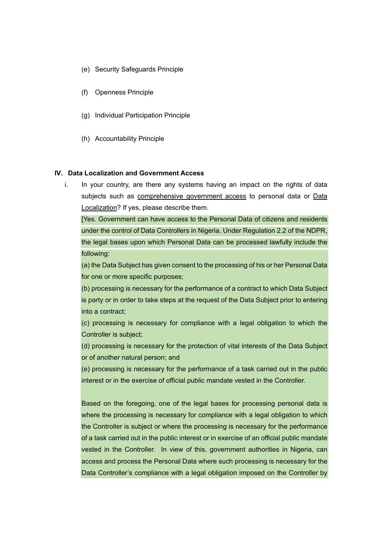- (e) Security Safeguards Principle
- (f) Openness Principle
- (g) Individual Participation Principle
- (h) Accountability Principle

#### **IV. Data Localization and Government Access**

i. In your country, are there any systems having an impact on the rights of data subjects such as comprehensive government access to personal data or Data Localization? If yes, please describe them.

[Yes. Government can have access to the Personal Data of citizens and residents under the control of Data Controllers in Nigeria. Under Regulation 2.2 of the NDPR, the legal bases upon which Personal Data can be processed lawfully include the following:

(a) the Data Subject has given consent to the processing of his or her Personal Data for one or more specific purposes;

(b) processing is necessary for the performance of a contract to which Data Subject is party or in order to take steps at the request of the Data Subject prior to entering into a contract;

(c) processing is necessary for compliance with a legal obligation to which the Controller is subject;

(d) processing is necessary for the protection of vital interests of the Data Subject or of another natural person; and

(e) processing is necessary for the performance of a task carried out in the public interest or in the exercise of official public mandate vested in the Controller.

Based on the foregoing, one of the legal bases for processing personal data is where the processing is necessary for compliance with a legal obligation to which the Controller is subject or where the processing is necessary for the performance of a task carried out in the public interest or in exercise of an official public mandate vested in the Controller. In view of this, government authorities in Nigeria, can access and process the Personal Data where such processing is necessary for the Data Controller's compliance with a legal obligation imposed on the Controller by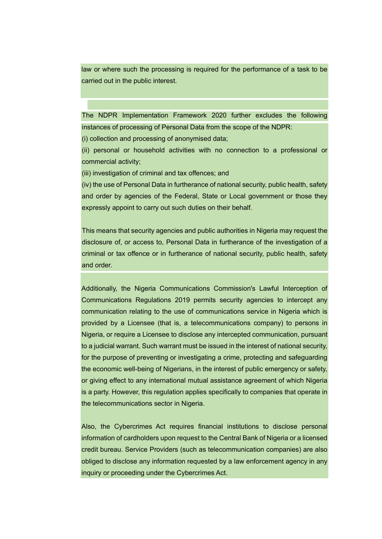law or where such the processing is required for the performance of a task to be carried out in the public interest.

The NDPR Implementation Framework 2020 further excludes the following instances of processing of Personal Data from the scope of the NDPR:

(i) collection and processing of anonymised data;

(ii) personal or household activities with no connection to a professional or commercial activity;

(iii) investigation of criminal and tax offences; and

(iv) the use of Personal Data in furtherance of national security, public health, safety and order by agencies of the Federal, State or Local government or those they expressly appoint to carry out such duties on their behalf.

This means that security agencies and public authorities in Nigeria may request the disclosure of, or access to, Personal Data in furtherance of the investigation of a criminal or tax offence or in furtherance of national security, public health, safety and order.

Additionally, the Nigeria Communications Commission's Lawful Interception of Communications Regulations 2019 permits security agencies to intercept any communication relating to the use of communications service in Nigeria which is provided by a Licensee (that is, a telecommunications company) to persons in Nigeria, or require a Licensee to disclose any intercepted communication, pursuant to a judicial warrant. Such warrant must be issued in the interest of national security, for the purpose of preventing or investigating a crime, protecting and safeguarding the economic well-being of Nigerians, in the interest of public emergency or safety, or giving effect to any international mutual assistance agreement of which Nigeria is a party. However, this regulation applies specifically to companies that operate in the telecommunications sector in Nigeria.

Also, the Cybercrimes Act requires financial institutions to disclose personal information of cardholders upon request to the Central Bank of Nigeria or a licensed credit bureau. Service Providers (such as telecommunication companies) are also obliged to disclose any information requested by a law enforcement agency in any inquiry or proceeding under the Cybercrimes Act.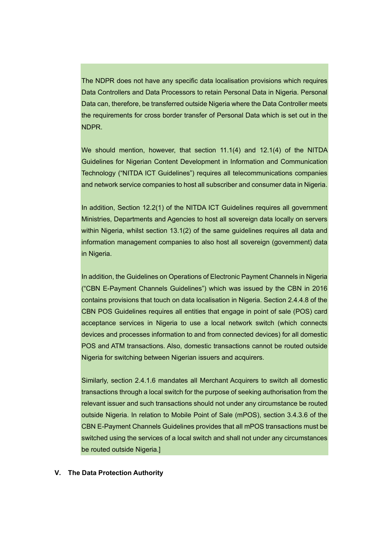The NDPR does not have any specific data localisation provisions which requires Data Controllers and Data Processors to retain Personal Data in Nigeria. Personal Data can, therefore, be transferred outside Nigeria where the Data Controller meets the requirements for cross border transfer of Personal Data which is set out in the NDPR.

We should mention, however, that section 11.1(4) and 12.1(4) of the NITDA Guidelines for Nigerian Content Development in Information and Communication Technology ("NITDA ICT Guidelines") requires all telecommunications companies and network service companies to host all subscriber and consumer data in Nigeria.

In addition, Section 12.2(1) of the NITDA ICT Guidelines requires all government Ministries, Departments and Agencies to host all sovereign data locally on servers within Nigeria, whilst section 13.1(2) of the same guidelines requires all data and information management companies to also host all sovereign (government) data in Nigeria.

In addition, the Guidelines on Operations of Electronic Payment Channels in Nigeria ("CBN E-Payment Channels Guidelines") which was issued by the CBN in 2016 contains provisions that touch on data localisation in Nigeria. Section 2.4.4.8 of the CBN POS Guidelines requires all entities that engage in point of sale (POS) card acceptance services in Nigeria to use a local network switch (which connects devices and processes information to and from connected devices) for all domestic POS and ATM transactions. Also, domestic transactions cannot be routed outside Nigeria for switching between Nigerian issuers and acquirers.

Similarly, section 2.4.1.6 mandates all Merchant Acquirers to switch all domestic transactions through a local switch for the purpose of seeking authorisation from the relevant issuer and such transactions should not under any circumstance be routed outside Nigeria. In relation to Mobile Point of Sale (mPOS), section 3.4.3.6 of the CBN E-Payment Channels Guidelines provides that all mPOS transactions must be switched using the services of a local switch and shall not under any circumstances be routed outside Nigeria.]

#### **V. The Data Protection Authority**